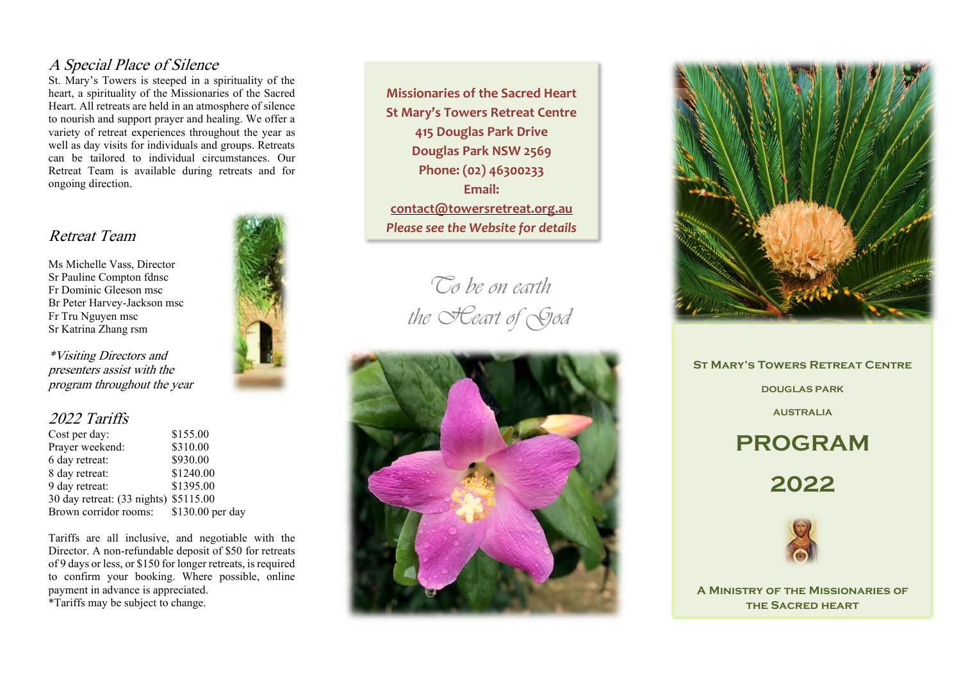#### A Special Place of Silence

St. Mary's Towers is steeped in a spirituality of the heart, a spirituality of the Missionaries of the Sacred Heart. All retreats are held in an atmosphere of silence to nourish and support prayer and healing. We offer a variety of retreat experiences throughout the year as well as day visits for individuals and groups. Retreats can be tailored to individual circumstances. Our Retreat Team is available during retreats and for ongoing direction.

## Retreat Team

Ms Michelle Vass, Director Sr Pauline Compton fdnsc Fr Dominic Gleeson msc Br Peter Harvey -Jackson msc Fr Tru Nguyen msc Sr Katrina Zhang rsm

\*Visiting Directors and presenters assist with the program throughout the year

## 2022 Tariffs

| Cost per day:                         | \$155.00         |
|---------------------------------------|------------------|
| Prayer weekend:                       | \$310.00         |
| 6 day retreat:                        | \$930.00         |
| 8 day retreat:                        | \$1240.00        |
| 9 day retreat:                        | \$1395.00        |
| 30 day retreat: (33 nights) \$5115.00 |                  |
| Brown corridor rooms:                 | \$130.00 per day |

Tariffs are all inclusive, and negotiable with the Director. A non -refundable deposit of \$50 for retreats of 9 days or less, or \$150 for longer retreats, is required to confirm your booking. Where possible, online payment in advance is appreciated.

\*Tariffs may be subject to change.



**Missionaries of the Sacred Heart St Mary's Towers Retreat Centre 415 Douglas Park Drive Douglas Park NSW 2569 Phone: (02) 46300233 Email: [contact@towersretreat.org.au](mailto:contact@towersretreat.org.au)** *Please see the Website for details*

> *To be on earth the Heart of God*





**St Mary's Towers Retreat Centre DOUGLAS PARK AUSTRALIA PROGRAM**

**2022**



**A Ministry of the Missionaries of the Sacred heart**